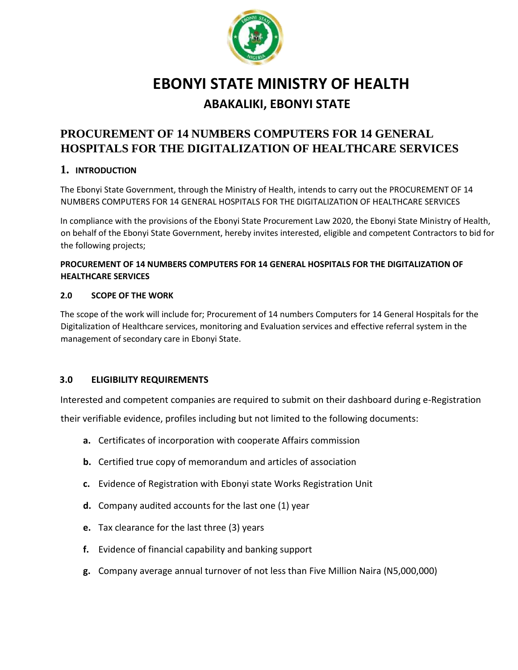

# **EBONYI STATE MINISTRY OF HEALTH ABAKALIKI, EBONYI STATE**

# **PROCUREMENT OF 14 NUMBERS COMPUTERS FOR 14 GENERAL HOSPITALS FOR THE DIGITALIZATION OF HEALTHCARE SERVICES**

# **1. INTRODUCTION**

The Ebonyi State Government, through the Ministry of Health, intends to carry out the PROCUREMENT OF 14 NUMBERS COMPUTERS FOR 14 GENERAL HOSPITALS FOR THE DIGITALIZATION OF HEALTHCARE SERVICES

In compliance with the provisions of the Ebonyi State Procurement Law 2020, the Ebonyi State Ministry of Health, on behalf of the Ebonyi State Government, hereby invites interested, eligible and competent Contractors to bid for the following projects;

# **PROCUREMENT OF 14 NUMBERS COMPUTERS FOR 14 GENERAL HOSPITALS FOR THE DIGITALIZATION OF HEALTHCARE SERVICES**

#### **2.0 SCOPE OF THE WORK**

The scope of the work will include for; Procurement of 14 numbers Computers for 14 General Hospitals for the Digitalization of Healthcare services, monitoring and Evaluation services and effective referral system in the management of secondary care in Ebonyi State.

# **3.0 ELIGIBILITY REQUIREMENTS**

Interested and competent companies are required to submit on their dashboard during e-Registration

their verifiable evidence, profiles including but not limited to the following documents:

- **a.** Certificates of incorporation with cooperate Affairs commission
- **b.** Certified true copy of memorandum and articles of association
- **c.** Evidence of Registration with Ebonyi state Works Registration Unit
- **d.** Company audited accounts for the last one (1) year
- **e.** Tax clearance for the last three (3) years
- **f.** Evidence of financial capability and banking support
- **g.** Company average annual turnover of not less than Five Million Naira (N5,000,000)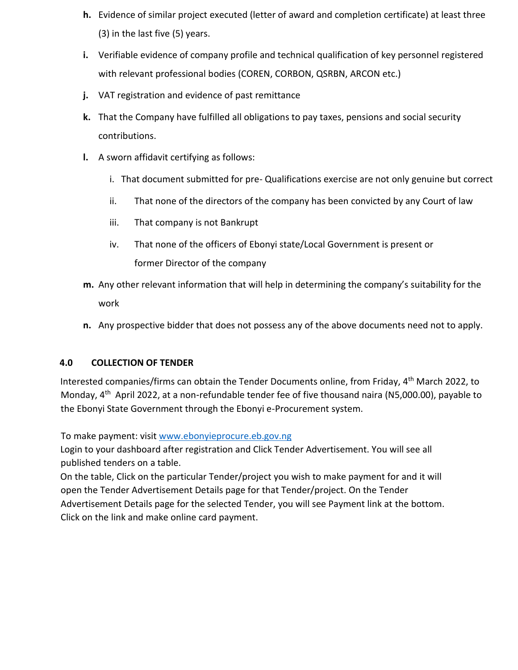- **h.** Evidence of similar project executed (letter of award and completion certificate) at least three (3) in the last five (5) years.
- **i.** Verifiable evidence of company profile and technical qualification of key personnel registered with relevant professional bodies (COREN, CORBON, QSRBN, ARCON etc.)
- **j.** VAT registration and evidence of past remittance
- **k.** That the Company have fulfilled all obligations to pay taxes, pensions and social security contributions.
- **l.** A sworn affidavit certifying as follows:
	- i. That document submitted for pre- Qualifications exercise are not only genuine but correct
	- ii. That none of the directors of the company has been convicted by any Court of law
	- iii. That company is not Bankrupt
	- iv. That none of the officers of Ebonyi state/Local Government is present or former Director of the company
- **m.** Any other relevant information that will help in determining the company's suitability for the work
- **n.** Any prospective bidder that does not possess any of the above documents need not to apply.

# **4.0 COLLECTION OF TENDER**

Interested companies/firms can obtain the Tender Documents online, from Friday, 4<sup>th</sup> March 2022, to Monday, 4<sup>th</sup> April 2022, at a non-refundable tender fee of five thousand naira (N5,000.00), payable to the Ebonyi State Government through the Ebonyi e-Procurement system.

To make payment: visit [www.ebonyieprocure.eb.gov.ng](http://www.ebonyieprocure.eb.gov.ng/)

Login to your dashboard after registration and Click Tender Advertisement. You will see all published tenders on a table.

On the table, Click on the particular Tender/project you wish to make payment for and it will open the Tender Advertisement Details page for that Tender/project. On the Tender Advertisement Details page for the selected Tender, you will see Payment link at the bottom. Click on the link and make online card payment.